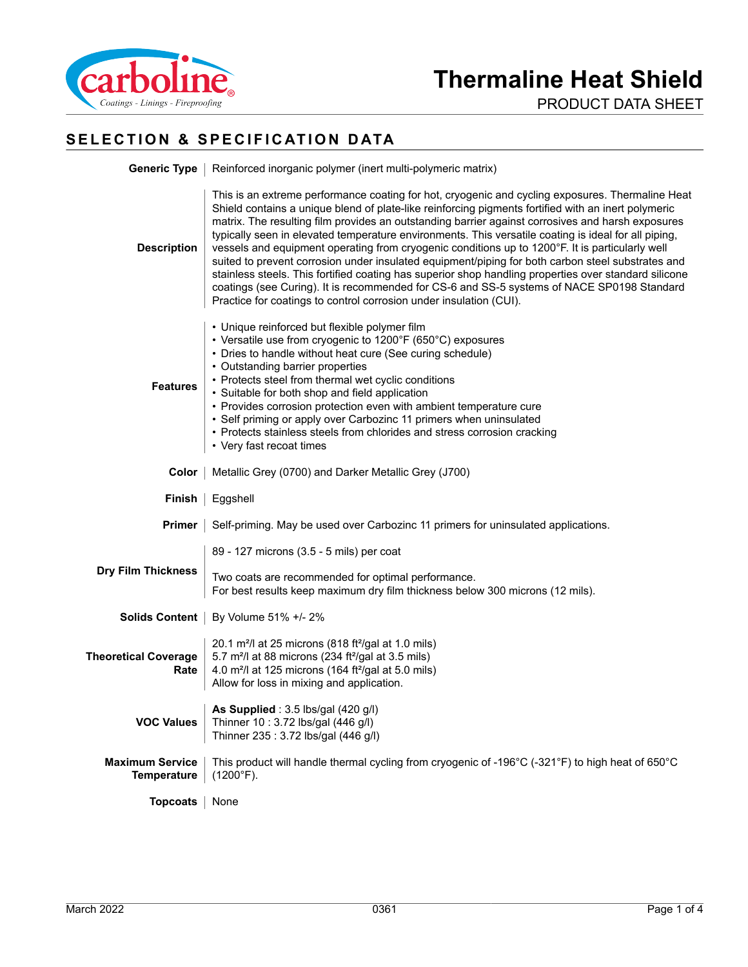

PRODUCT DATA SHEET

# **SELECTION & SPECIFICATION DATA**

|                                              | <b>Generic Type</b>   Reinforced inorganic polymer (inert multi-polymeric matrix)                                                                                                                                                                                                                                                                                                                                                                                                                                                                                                                                                                                                                                                                                                                                                                                                                         |  |  |
|----------------------------------------------|-----------------------------------------------------------------------------------------------------------------------------------------------------------------------------------------------------------------------------------------------------------------------------------------------------------------------------------------------------------------------------------------------------------------------------------------------------------------------------------------------------------------------------------------------------------------------------------------------------------------------------------------------------------------------------------------------------------------------------------------------------------------------------------------------------------------------------------------------------------------------------------------------------------|--|--|
| <b>Description</b>                           | This is an extreme performance coating for hot, cryogenic and cycling exposures. Thermaline Heat<br>Shield contains a unique blend of plate-like reinforcing pigments fortified with an inert polymeric<br>matrix. The resulting film provides an outstanding barrier against corrosives and harsh exposures<br>typically seen in elevated temperature environments. This versatile coating is ideal for all piping,<br>vessels and equipment operating from cryogenic conditions up to 1200°F. It is particularly well<br>suited to prevent corrosion under insulated equipment/piping for both carbon steel substrates and<br>stainless steels. This fortified coating has superior shop handling properties over standard silicone<br>coatings (see Curing). It is recommended for CS-6 and SS-5 systems of NACE SP0198 Standard<br>Practice for coatings to control corrosion under insulation (CUI). |  |  |
| <b>Features</b>                              | • Unique reinforced but flexible polymer film<br>• Versatile use from cryogenic to 1200°F (650°C) exposures<br>• Dries to handle without heat cure (See curing schedule)<br>• Outstanding barrier properties<br>• Protects steel from thermal wet cyclic conditions<br>• Suitable for both shop and field application<br>• Provides corrosion protection even with ambient temperature cure<br>• Self priming or apply over Carbozinc 11 primers when uninsulated<br>• Protects stainless steels from chlorides and stress corrosion cracking<br>• Very fast recoat times                                                                                                                                                                                                                                                                                                                                 |  |  |
| Color                                        | Metallic Grey (0700) and Darker Metallic Grey (J700)                                                                                                                                                                                                                                                                                                                                                                                                                                                                                                                                                                                                                                                                                                                                                                                                                                                      |  |  |
| Finish                                       | Eggshell                                                                                                                                                                                                                                                                                                                                                                                                                                                                                                                                                                                                                                                                                                                                                                                                                                                                                                  |  |  |
| <b>Primer</b>                                | Self-priming. May be used over Carbozinc 11 primers for uninsulated applications.                                                                                                                                                                                                                                                                                                                                                                                                                                                                                                                                                                                                                                                                                                                                                                                                                         |  |  |
| <b>Dry Film Thickness</b>                    | 89 - 127 microns (3.5 - 5 mils) per coat<br>Two coats are recommended for optimal performance.<br>For best results keep maximum dry film thickness below 300 microns (12 mils).                                                                                                                                                                                                                                                                                                                                                                                                                                                                                                                                                                                                                                                                                                                           |  |  |
| Solids Content                               | By Volume 51% +/- 2%                                                                                                                                                                                                                                                                                                                                                                                                                                                                                                                                                                                                                                                                                                                                                                                                                                                                                      |  |  |
| <b>Theoretical Coverage</b><br>Rate          | 20.1 m <sup>2</sup> /l at 25 microns (818 ft <sup>2</sup> /gal at 1.0 mils)<br>5.7 m <sup>2</sup> /l at 88 microns (234 ft <sup>2</sup> /gal at 3.5 mils)<br>4.0 m <sup>2</sup> /l at 125 microns (164 ft <sup>2</sup> /gal at 5.0 mils)<br>Allow for loss in mixing and application.                                                                                                                                                                                                                                                                                                                                                                                                                                                                                                                                                                                                                     |  |  |
| <b>VOC Values</b>                            | As Supplied: 3.5 lbs/gal (420 g/l)<br>Thinner 10: 3.72 lbs/gal (446 g/l)<br>Thinner 235: 3.72 lbs/gal (446 g/l)                                                                                                                                                                                                                                                                                                                                                                                                                                                                                                                                                                                                                                                                                                                                                                                           |  |  |
| <b>Maximum Service</b><br><b>Temperature</b> | This product will handle thermal cycling from cryogenic of -196°C (-321°F) to high heat of 650°C<br>$(1200^{\circ}F).$                                                                                                                                                                                                                                                                                                                                                                                                                                                                                                                                                                                                                                                                                                                                                                                    |  |  |
| <b>Topcoats</b>                              | None                                                                                                                                                                                                                                                                                                                                                                                                                                                                                                                                                                                                                                                                                                                                                                                                                                                                                                      |  |  |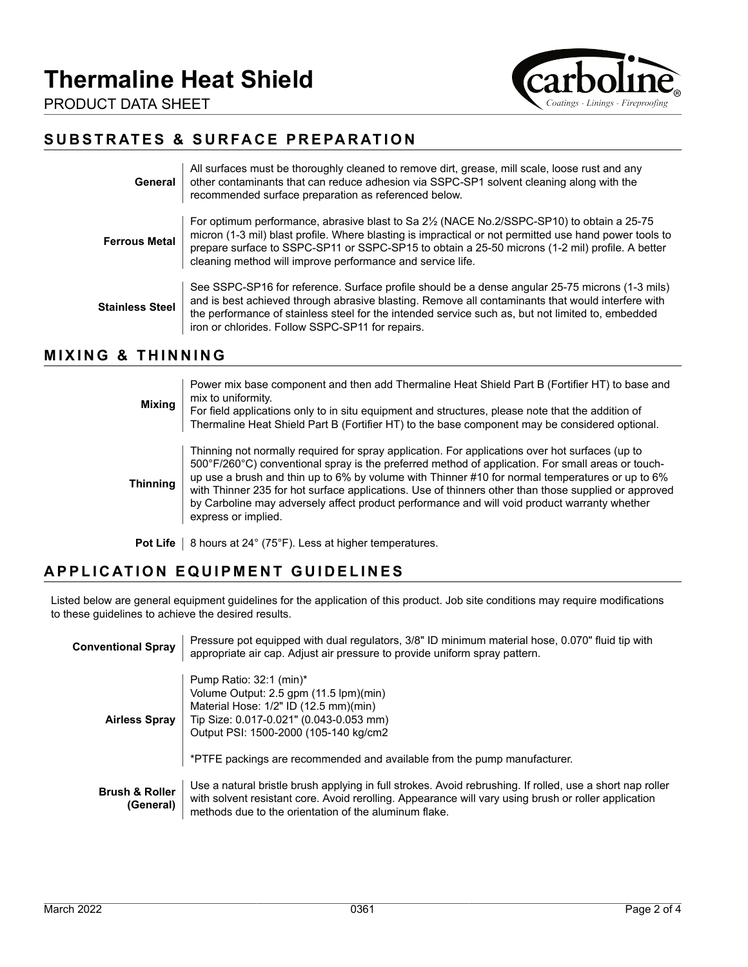

PRODUCT DATA SHEET

### **SUBSTRATES & SURFACE PREPARATION**

| General              | All surfaces must be thoroughly cleaned to remove dirt, grease, mill scale, loose rust and any<br>other contaminants that can reduce adhesion via SSPC-SP1 solvent cleaning along with the<br>recommended surface preparation as referenced below.                                                                                                                                             |
|----------------------|------------------------------------------------------------------------------------------------------------------------------------------------------------------------------------------------------------------------------------------------------------------------------------------------------------------------------------------------------------------------------------------------|
| <b>Ferrous Metal</b> | For optimum performance, abrasive blast to Sa 2 <sup>1</sup> / <sub>2</sub> (NACE No.2/SSPC-SP10) to obtain a 25-75<br>micron (1-3 mil) blast profile. Where blasting is impractical or not permitted use hand power tools to<br>prepare surface to SSPC-SP11 or SSPC-SP15 to obtain a 25-50 microns (1-2 mil) profile. A better<br>cleaning method will improve performance and service life. |
| Stainless Steel      | See SSPC-SP16 for reference. Surface profile should be a dense angular 25-75 microns (1-3 mils)<br>and is best achieved through abrasive blasting. Remove all contaminants that would interfere with<br>the performance of stainless steel for the intended service such as, but not limited to, embedded<br>iron or chlorides. Follow SSPC-SP11 for repairs.                                  |

#### **MIXING & THINNING**

| <b>Mixing</b>   | Power mix base component and then add Thermaline Heat Shield Part B (Fortifier HT) to base and<br>mix to uniformity.<br>For field applications only to in situ equipment and structures, please note that the addition of<br>Thermaline Heat Shield Part B (Fortifier HT) to the base component may be considered optional.                                                                                                                                                                                                            |
|-----------------|----------------------------------------------------------------------------------------------------------------------------------------------------------------------------------------------------------------------------------------------------------------------------------------------------------------------------------------------------------------------------------------------------------------------------------------------------------------------------------------------------------------------------------------|
| <b>Thinning</b> | Thinning not normally required for spray application. For applications over hot surfaces (up to<br>500°F/260°C) conventional spray is the preferred method of application. For small areas or touch-<br>up use a brush and thin up to 6% by volume with Thinner #10 for normal temperatures or up to 6%<br>with Thinner 235 for hot surface applications. Use of thinners other than those supplied or approved<br>by Carboline may adversely affect product performance and will void product warranty whether<br>express or implied. |
| <b>Pot Life</b> | 8 hours at 24° (75°F). Less at higher temperatures.                                                                                                                                                                                                                                                                                                                                                                                                                                                                                    |

# **APPLICATION EQUIPMENT GUIDELINES**

Listed below are general equipment guidelines for the application of this product. Job site conditions may require modifications to these guidelines to achieve the desired results.

| <b>Conventional Spray</b>              | Pressure pot equipped with dual regulators, 3/8" ID minimum material hose, 0.070" fluid tip with<br>appropriate air cap. Adjust air pressure to provide uniform spray pattern.                                                                                              |
|----------------------------------------|-----------------------------------------------------------------------------------------------------------------------------------------------------------------------------------------------------------------------------------------------------------------------------|
| <b>Airless Spray</b>                   | Pump Ratio: 32:1 (min)*<br>Volume Output: 2.5 gpm (11.5 lpm)(min)<br>Material Hose: 1/2" ID (12.5 mm)(min)<br>Tip Size: 0.017-0.021" (0.043-0.053 mm)<br>Output PSI: 1500-2000 (105-140 kg/cm2)<br>*PTFE packings are recommended and available from the pump manufacturer. |
| <b>Brush &amp; Roller</b><br>(General) | Use a natural bristle brush applying in full strokes. Avoid rebrushing. If rolled, use a short nap roller<br>with solvent resistant core. Avoid rerolling. Appearance will vary using brush or roller application<br>methods due to the orientation of the aluminum flake.  |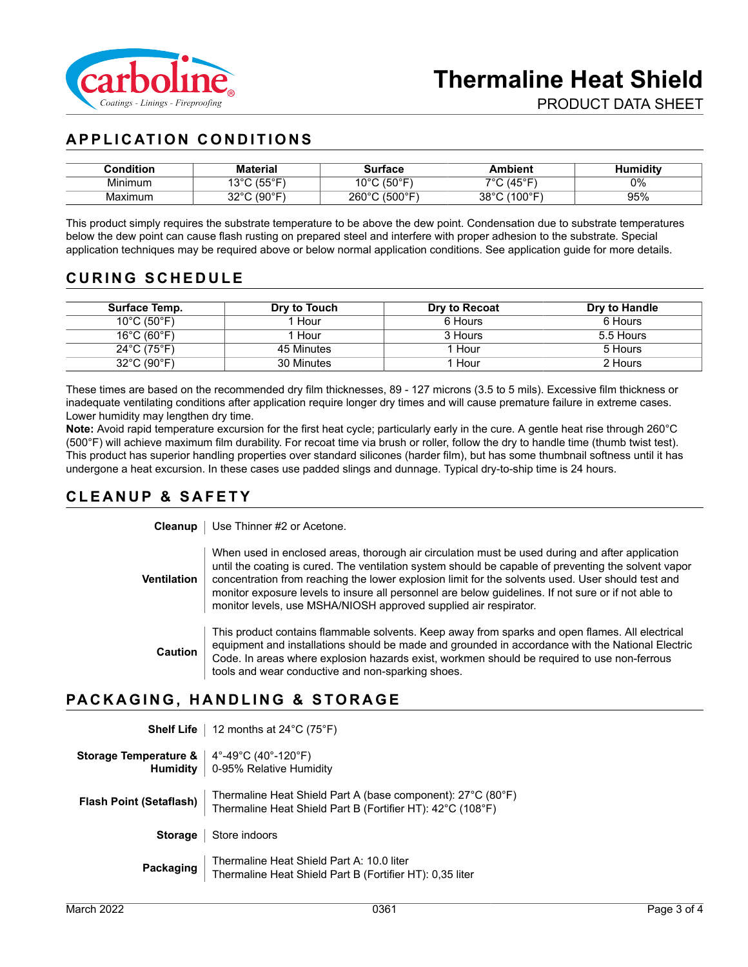

## **APPLICATION CONDITIONS**

| Condition | <b>Material</b>              | Surface                    | <b>\mbient</b>       | lumiditv |
|-----------|------------------------------|----------------------------|----------------------|----------|
| Minimum   | $(55^\circ)$<br>$\sim$<br>ັບ | (50°F)<br>៱៱៰៸             | 7°⊺/ /∆<br>ᢇ៝        | 0%       |
| Maximum   | (90°F)<br>nnor<br>ےں         | (500°F)<br>$260^{\circ}$ C | (100°F<br>2000<br>აი | 95%      |

This product simply requires the substrate temperature to be above the dew point. Condensation due to substrate temperatures below the dew point can cause flash rusting on prepared steel and interfere with proper adhesion to the substrate. Special application techniques may be required above or below normal application conditions. See application guide for more details.

#### **CURING SCHEDULE**

| Surface Temp.                    | Dry to Touch | Dry to Recoat | Dry to Handle |
|----------------------------------|--------------|---------------|---------------|
| $10^{\circ}$ C (50 $^{\circ}$ F) | Hour         | 6 Hours       | 6 Hours       |
| $16^{\circ}$ C (60 $^{\circ}$ F) | Hour         | 3 Hours       | 5.5 Hours     |
| $24^{\circ}$ C (75 $^{\circ}$ F) | 45 Minutes   | 1 Hour        | 5 Hours       |
| 32°C (90°F)                      | 30 Minutes   | Hour          | 2 Hours       |

These times are based on the recommended dry film thicknesses, 89 - 127 microns (3.5 to 5 mils). Excessive film thickness or inadequate ventilating conditions after application require longer dry times and will cause premature failure in extreme cases. Lower humidity may lengthen dry time.

**Note:** Avoid rapid temperature excursion for the first heat cycle; particularly early in the cure. A gentle heat rise through 260°C (500°F) will achieve maximum film durability. For recoat time via brush or roller, follow the dry to handle time (thumb twist test). This product has superior handling properties over standard silicones (harder film), but has some thumbnail softness until it has undergone a heat excursion. In these cases use padded slings and dunnage. Typical dry-to-ship time is 24 hours.

#### **CLEANUP & SAFETY**

**Cleanup** | Use Thinner #2 or Acetone.

**Ventilation** When used in enclosed areas, thorough air circulation must be used during and after application until the coating is cured. The ventilation system should be capable of preventing the solvent vapor concentration from reaching the lower explosion limit for the solvents used. User should test and monitor exposure levels to insure all personnel are below guidelines. If not sure or if not able to monitor levels, use MSHA/NIOSH approved supplied air respirator.

**Caution** This product contains flammable solvents. Keep away from sparks and open flames. All electrical equipment and installations should be made and grounded in accordance with the National Electric Code. In areas where explosion hazards exist, workmen should be required to use non-ferrous tools and wear conductive and non-sparking shoes.

#### **PACKAGING, HANDLING & STORAGE**

|                                                                                                                                                                            | <b>Shelf Life</b>   12 months at $24^{\circ}$ C (75 $^{\circ}$ F)                                                                                   |
|----------------------------------------------------------------------------------------------------------------------------------------------------------------------------|-----------------------------------------------------------------------------------------------------------------------------------------------------|
| <b>Storage Temperature &amp; </b> $\begin{array}{ c c c c }\n4^\circ-49^\circ\text{C} & (40^\circ-120^\circ\text{F})\n\end{array}$ <b>Humidity</b> 0-95% Relative Humidity |                                                                                                                                                     |
|                                                                                                                                                                            | Flash Point (Setaflash)   Thermaline Heat Shield Part A (base component): 27°C (80°F)<br>Thermaline Heat Shield Part B (Fortifier HT): 42°C (108°F) |
|                                                                                                                                                                            | <b>Storage</b>   Store indoors                                                                                                                      |
|                                                                                                                                                                            | <b>Packaging</b> Thermaline Heat Shield Part A: 10.0 liter<br>Thermaline Heat Shield Part B (Fortifier HT): 0,35 liter                              |